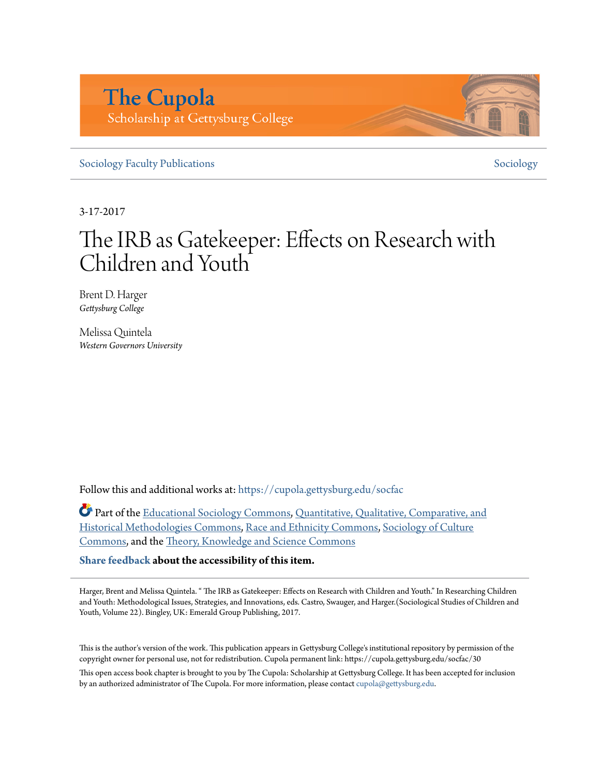# **The Cupola** Scholarship at Gettysburg College

[Sociology Faculty Publications](https://cupola.gettysburg.edu/socfac?utm_source=cupola.gettysburg.edu%2Fsocfac%2F30&utm_medium=PDF&utm_campaign=PDFCoverPages) [Sociology](https://cupola.gettysburg.edu/sociology?utm_source=cupola.gettysburg.edu%2Fsocfac%2F30&utm_medium=PDF&utm_campaign=PDFCoverPages)

3-17-2017

# The IRB as Gatekeeper: Effects on Research with Children and Youth

Brent D. Harger *Gettysburg College*

Melissa Quintela *Western Governors University*

Follow this and additional works at: [https://cupola.gettysburg.edu/socfac](https://cupola.gettysburg.edu/socfac?utm_source=cupola.gettysburg.edu%2Fsocfac%2F30&utm_medium=PDF&utm_campaign=PDFCoverPages)

Part of the [Educational Sociology Commons,](http://network.bepress.com/hgg/discipline/1071?utm_source=cupola.gettysburg.edu%2Fsocfac%2F30&utm_medium=PDF&utm_campaign=PDFCoverPages) [Quantitative, Qualitative, Comparative, and](http://network.bepress.com/hgg/discipline/423?utm_source=cupola.gettysburg.edu%2Fsocfac%2F30&utm_medium=PDF&utm_campaign=PDFCoverPages) [Historical Methodologies Commons](http://network.bepress.com/hgg/discipline/423?utm_source=cupola.gettysburg.edu%2Fsocfac%2F30&utm_medium=PDF&utm_campaign=PDFCoverPages), [Race and Ethnicity Commons,](http://network.bepress.com/hgg/discipline/426?utm_source=cupola.gettysburg.edu%2Fsocfac%2F30&utm_medium=PDF&utm_campaign=PDFCoverPages) [Sociology of Culture](http://network.bepress.com/hgg/discipline/431?utm_source=cupola.gettysburg.edu%2Fsocfac%2F30&utm_medium=PDF&utm_campaign=PDFCoverPages) [Commons,](http://network.bepress.com/hgg/discipline/431?utm_source=cupola.gettysburg.edu%2Fsocfac%2F30&utm_medium=PDF&utm_campaign=PDFCoverPages) and the [Theory, Knowledge and Science Commons](http://network.bepress.com/hgg/discipline/432?utm_source=cupola.gettysburg.edu%2Fsocfac%2F30&utm_medium=PDF&utm_campaign=PDFCoverPages)

**[Share feedback](https://docs.google.com/a/bepress.com/forms/d/1h9eEcpBPj5POs5oO6Y5A0blXRmZqykoonyYiZUNyEq8/viewform) about the accessibility of this item.**

Harger, Brent and Melissa Quintela. " The IRB as Gatekeeper: Effects on Research with Children and Youth." In Researching Children and Youth: Methodological Issues, Strategies, and Innovations, eds. Castro, Swauger, and Harger.(Sociological Studies of Children and Youth, Volume 22). Bingley, UK: Emerald Group Publishing, 2017.

This is the author's version of the work. This publication appears in Gettysburg College's institutional repository by permission of the copyright owner for personal use, not for redistribution. Cupola permanent link: https://cupola.gettysburg.edu/socfac/30

This open access book chapter is brought to you by The Cupola: Scholarship at Gettysburg College. It has been accepted for inclusion by an authorized administrator of The Cupola. For more information, please contact [cupola@gettysburg.edu](mailto:cupola@gettysburg.edu).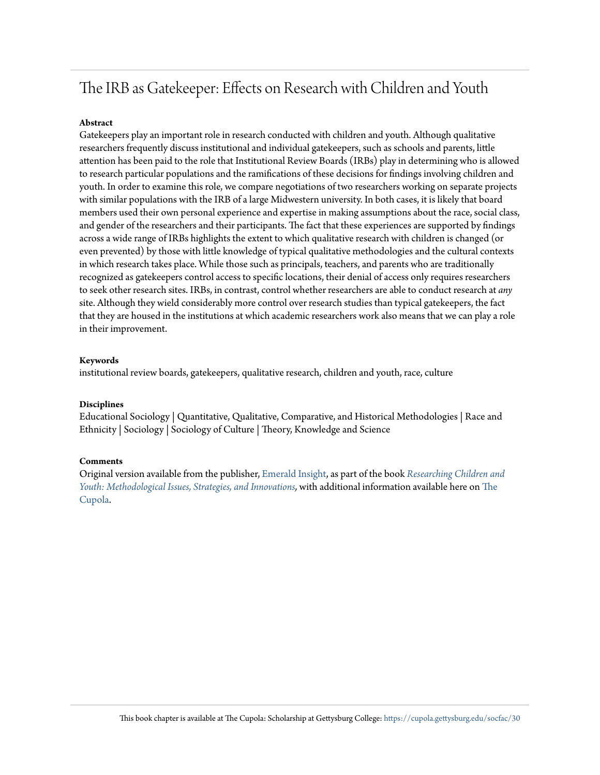# The IRB as Gatekeeper: Effects on Research with Children and Youth

#### **Abstract**

Gatekeepers play an important role in research conducted with children and youth. Although qualitative researchers frequently discuss institutional and individual gatekeepers, such as schools and parents, little attention has been paid to the role that Institutional Review Boards (IRBs) play in determining who is allowed to research particular populations and the ramifications of these decisions for findings involving children and youth. In order to examine this role, we compare negotiations of two researchers working on separate projects with similar populations with the IRB of a large Midwestern university. In both cases, it is likely that board members used their own personal experience and expertise in making assumptions about the race, social class, and gender of the researchers and their participants. The fact that these experiences are supported by findings across a wide range of IRBs highlights the extent to which qualitative research with children is changed (or even prevented) by those with little knowledge of typical qualitative methodologies and the cultural contexts in which research takes place. While those such as principals, teachers, and parents who are traditionally recognized as gatekeepers control access to specific locations, their denial of access only requires researchers to seek other research sites. IRBs, in contrast, control whether researchers are able to conduct research at *any* site. Although they wield considerably more control over research studies than typical gatekeepers, the fact that they are housed in the institutions at which academic researchers work also means that we can play a role in their improvement.

#### **Keywords**

institutional review boards, gatekeepers, qualitative research, children and youth, race, culture

#### **Disciplines**

Educational Sociology | Quantitative, Qualitative, Comparative, and Historical Methodologies | Race and Ethnicity | Sociology | Sociology of Culture | Theory, Knowledge and Science

#### **Comments**

Original version available from the publisher, [Emerald Insight,](http://www.emeraldinsight.com/doi/full/10.1108/S1537-466120180000022002) as part of the book *[Researching Children and](http://www.emeraldinsight.com/doi/book/10.1108/S1537-4661201722) [Youth: Methodological Issues, Strategies, and Innovations](http://www.emeraldinsight.com/doi/book/10.1108/S1537-4661201722),* with additional information available here on [The](http://cupola.gettysburg.edu/books/120/) [Cupola](http://cupola.gettysburg.edu/books/120/).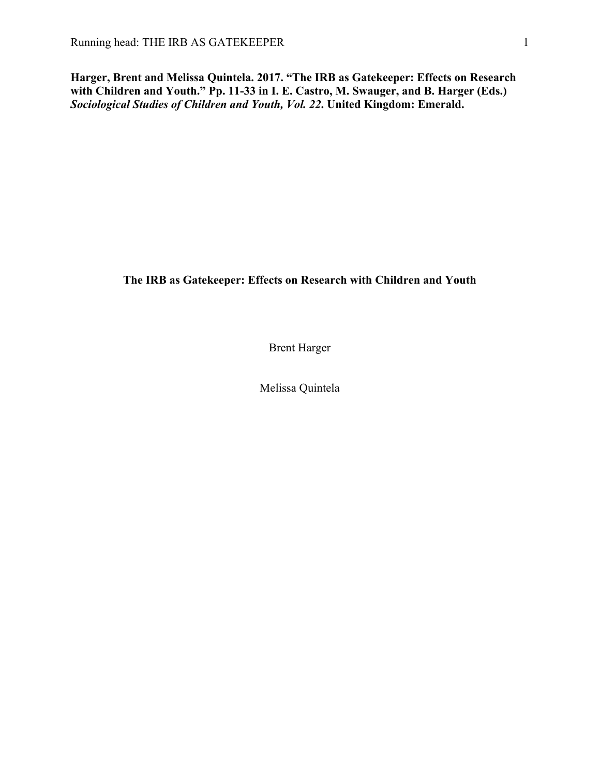**Harger, Brent and Melissa Quintela. 2017. "The IRB as Gatekeeper: Effects on Research with Children and Youth." Pp. 11-33 in I. E. Castro, M. Swauger, and B. Harger (Eds.)**  *Sociological Studies of Children and Youth, Vol. 22***. United Kingdom: Emerald.**

# **The IRB as Gatekeeper: Effects on Research with Children and Youth**

Brent Harger

Melissa Quintela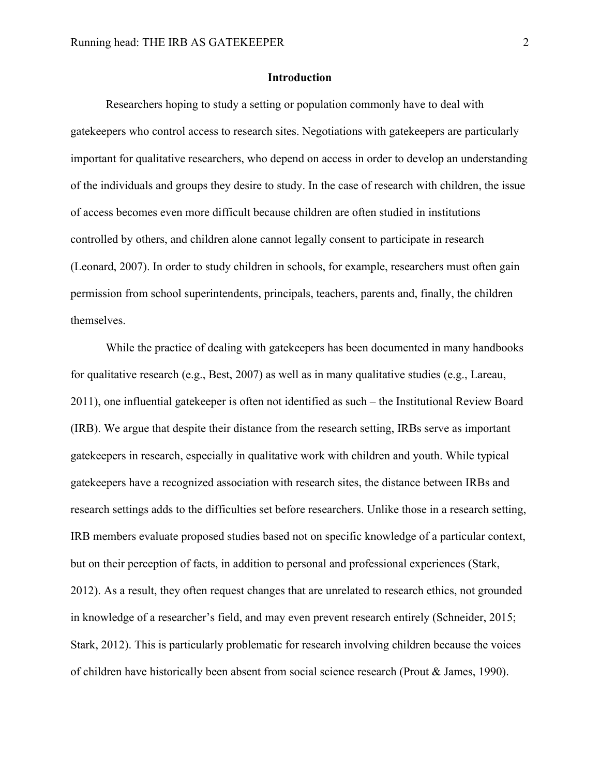#### **Introduction**

Researchers hoping to study a setting or population commonly have to deal with gatekeepers who control access to research sites. Negotiations with gatekeepers are particularly important for qualitative researchers, who depend on access in order to develop an understanding of the individuals and groups they desire to study. In the case of research with children, the issue of access becomes even more difficult because children are often studied in institutions controlled by others, and children alone cannot legally consent to participate in research (Leonard, 2007). In order to study children in schools, for example, researchers must often gain permission from school superintendents, principals, teachers, parents and, finally, the children themselves.

While the practice of dealing with gatekeepers has been documented in many handbooks for qualitative research (e.g., Best, 2007) as well as in many qualitative studies (e.g., Lareau, 2011), one influential gatekeeper is often not identified as such – the Institutional Review Board (IRB). We argue that despite their distance from the research setting, IRBs serve as important gatekeepers in research, especially in qualitative work with children and youth. While typical gatekeepers have a recognized association with research sites, the distance between IRBs and research settings adds to the difficulties set before researchers. Unlike those in a research setting, IRB members evaluate proposed studies based not on specific knowledge of a particular context, but on their perception of facts, in addition to personal and professional experiences (Stark, 2012). As a result, they often request changes that are unrelated to research ethics, not grounded in knowledge of a researcher's field, and may even prevent research entirely (Schneider, 2015; Stark, 2012). This is particularly problematic for research involving children because the voices of children have historically been absent from social science research (Prout & James, 1990).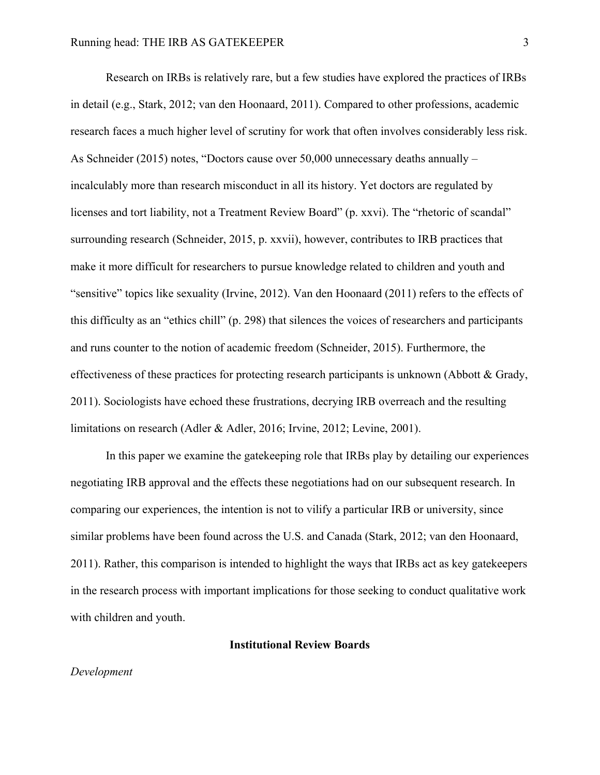Research on IRBs is relatively rare, but a few studies have explored the practices of IRBs in detail (e.g., Stark, 2012; van den Hoonaard, 2011). Compared to other professions, academic research faces a much higher level of scrutiny for work that often involves considerably less risk. As Schneider (2015) notes, "Doctors cause over 50,000 unnecessary deaths annually – incalculably more than research misconduct in all its history. Yet doctors are regulated by licenses and tort liability, not a Treatment Review Board" (p. xxvi). The "rhetoric of scandal" surrounding research (Schneider, 2015, p. xxvii), however, contributes to IRB practices that make it more difficult for researchers to pursue knowledge related to children and youth and "sensitive" topics like sexuality (Irvine, 2012). Van den Hoonaard (2011) refers to the effects of this difficulty as an "ethics chill" (p. 298) that silences the voices of researchers and participants and runs counter to the notion of academic freedom (Schneider, 2015). Furthermore, the effectiveness of these practices for protecting research participants is unknown (Abbott  $\&$  Grady, 2011). Sociologists have echoed these frustrations, decrying IRB overreach and the resulting limitations on research (Adler & Adler, 2016; Irvine, 2012; Levine, 2001).

In this paper we examine the gatekeeping role that IRBs play by detailing our experiences negotiating IRB approval and the effects these negotiations had on our subsequent research. In comparing our experiences, the intention is not to vilify a particular IRB or university, since similar problems have been found across the U.S. and Canada (Stark, 2012; van den Hoonaard, 2011). Rather, this comparison is intended to highlight the ways that IRBs act as key gatekeepers in the research process with important implications for those seeking to conduct qualitative work with children and youth.

#### **Institutional Review Boards**

#### *Development*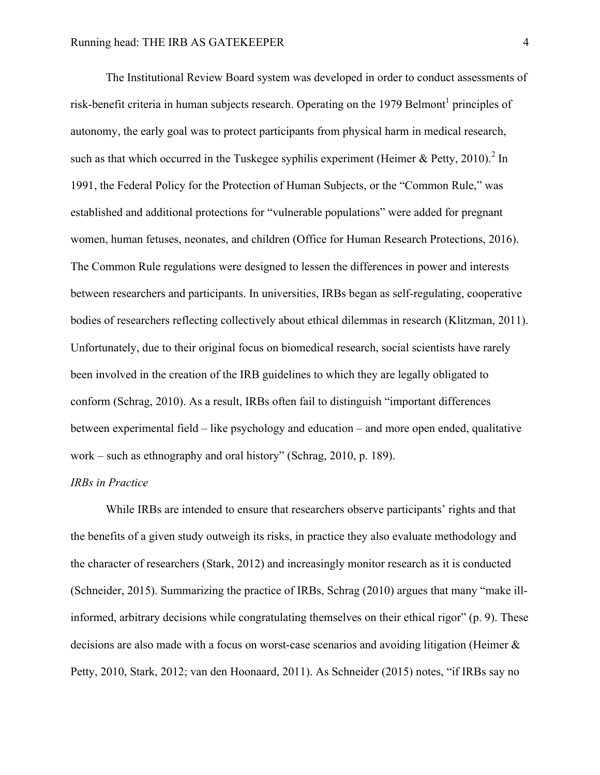The Institutional Review Board system was developed in order to conduct assessments of risk-benefit criteria in human subjects research. Operating on the 1979 Belmont<sup>1</sup> principles of autonomy, the early goal was to protect participants from physical harm in medical research, such as that which occurred in the Tuskegee syphilis experiment (Heimer & Petty, 2010).<sup>2</sup> In 1991, the Federal Policy for the Protection of Human Subjects, or the "Common Rule," was established and additional protections for "vulnerable populations" were added for pregnant women, human fetuses, neonates, and children (Office for Human Research Protections, 2016). The Common Rule regulations were designed to lessen the differences in power and interests between researchers and participants. In universities, IRBs began as self-regulating, cooperative bodies of researchers reflecting collectively about ethical dilemmas in research (Klitzman, 2011). Unfortunately, due to their original focus on biomedical research, social scientists have rarely been involved in the creation of the IRB guidelines to which they are legally obligated to conform (Schrag, 2010). As a result, IRBs often fail to distinguish "important differences between experimental field – like psychology and education – and more open ended, qualitative work – such as ethnography and oral history" (Schrag, 2010, p. 189).

#### *IRBs in Practice*

While IRBs are intended to ensure that researchers observe participants' rights and that the benefits of a given study outweigh its risks, in practice they also evaluate methodology and the character of researchers (Stark, 2012) and increasingly monitor research as it is conducted (Schneider, 2015). Summarizing the practice of IRBs, Schrag (2010) argues that many "make illinformed, arbitrary decisions while congratulating themselves on their ethical rigor" (p. 9). These decisions are also made with a focus on worst-case scenarios and avoiding litigation (Heimer & Petty, 2010, Stark, 2012; van den Hoonaard, 2011). As Schneider (2015) notes, "if IRBs say no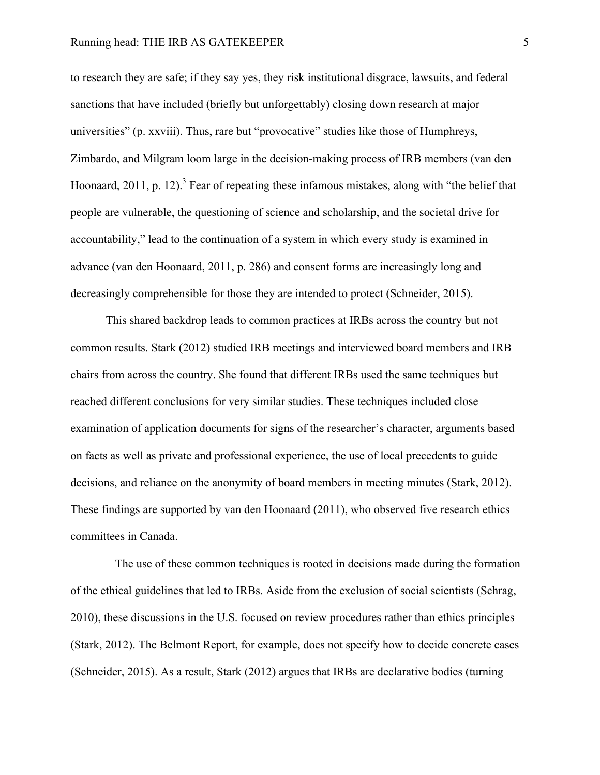to research they are safe; if they say yes, they risk institutional disgrace, lawsuits, and federal sanctions that have included (briefly but unforgettably) closing down research at major universities" (p. xxviii). Thus, rare but "provocative" studies like those of Humphreys, Zimbardo, and Milgram loom large in the decision-making process of IRB members (van den Hoonaard, 2011, p. 12).<sup>3</sup> Fear of repeating these infamous mistakes, along with "the belief that people are vulnerable, the questioning of science and scholarship, and the societal drive for accountability," lead to the continuation of a system in which every study is examined in advance (van den Hoonaard, 2011, p. 286) and consent forms are increasingly long and decreasingly comprehensible for those they are intended to protect (Schneider, 2015).

This shared backdrop leads to common practices at IRBs across the country but not common results. Stark (2012) studied IRB meetings and interviewed board members and IRB chairs from across the country. She found that different IRBs used the same techniques but reached different conclusions for very similar studies. These techniques included close examination of application documents for signs of the researcher's character, arguments based on facts as well as private and professional experience, the use of local precedents to guide decisions, and reliance on the anonymity of board members in meeting minutes (Stark, 2012). These findings are supported by van den Hoonaard (2011), who observed five research ethics committees in Canada.

The use of these common techniques is rooted in decisions made during the formation of the ethical guidelines that led to IRBs. Aside from the exclusion of social scientists (Schrag, 2010), these discussions in the U.S. focused on review procedures rather than ethics principles (Stark, 2012). The Belmont Report, for example, does not specify how to decide concrete cases (Schneider, 2015). As a result, Stark (2012) argues that IRBs are declarative bodies (turning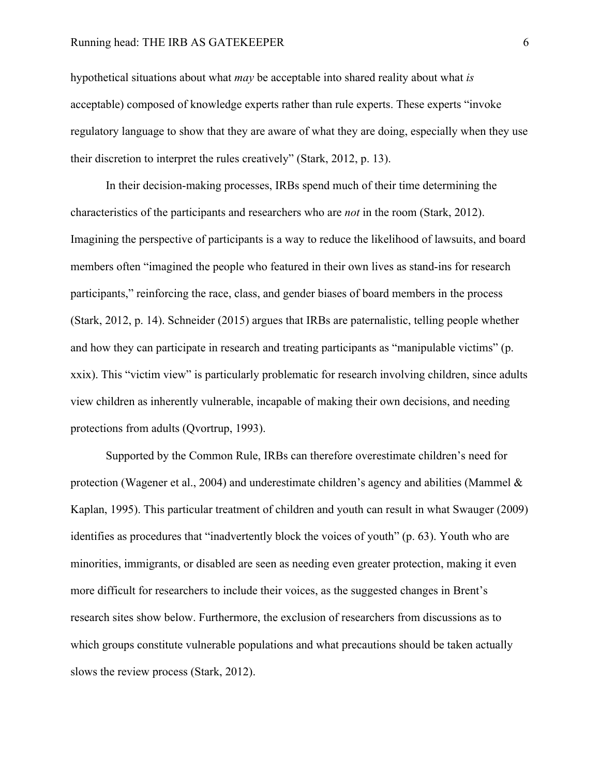hypothetical situations about what *may* be acceptable into shared reality about what *is*  acceptable) composed of knowledge experts rather than rule experts. These experts "invoke regulatory language to show that they are aware of what they are doing, especially when they use their discretion to interpret the rules creatively" (Stark, 2012, p. 13).

In their decision-making processes, IRBs spend much of their time determining the characteristics of the participants and researchers who are *not* in the room (Stark, 2012). Imagining the perspective of participants is a way to reduce the likelihood of lawsuits, and board members often "imagined the people who featured in their own lives as stand-ins for research participants," reinforcing the race, class, and gender biases of board members in the process (Stark, 2012, p. 14). Schneider (2015) argues that IRBs are paternalistic, telling people whether and how they can participate in research and treating participants as "manipulable victims" (p. xxix). This "victim view" is particularly problematic for research involving children, since adults view children as inherently vulnerable, incapable of making their own decisions, and needing protections from adults (Qvortrup, 1993).

Supported by the Common Rule, IRBs can therefore overestimate children's need for protection (Wagener et al., 2004) and underestimate children's agency and abilities (Mammel  $\&$ Kaplan, 1995). This particular treatment of children and youth can result in what Swauger (2009) identifies as procedures that "inadvertently block the voices of youth" (p. 63). Youth who are minorities, immigrants, or disabled are seen as needing even greater protection, making it even more difficult for researchers to include their voices, as the suggested changes in Brent's research sites show below. Furthermore, the exclusion of researchers from discussions as to which groups constitute vulnerable populations and what precautions should be taken actually slows the review process (Stark, 2012).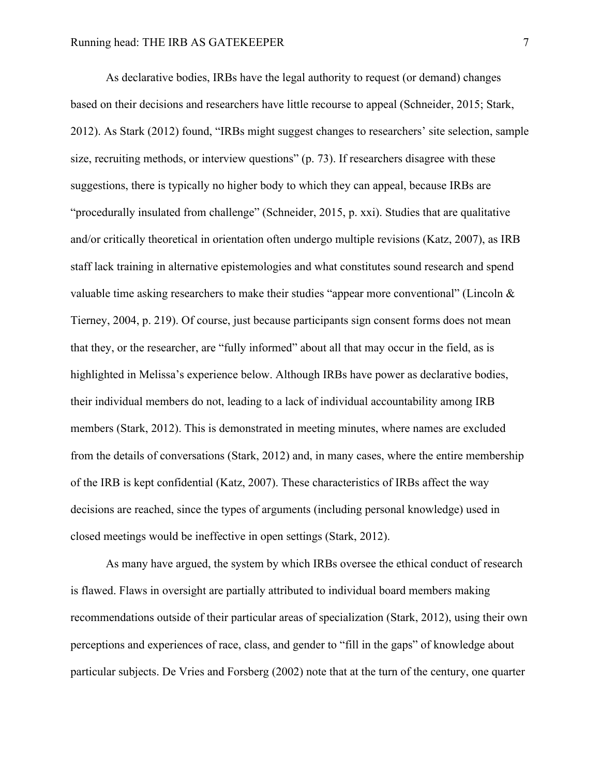As declarative bodies, IRBs have the legal authority to request (or demand) changes based on their decisions and researchers have little recourse to appeal (Schneider, 2015; Stark, 2012). As Stark (2012) found, "IRBs might suggest changes to researchers' site selection, sample size, recruiting methods, or interview questions" (p. 73). If researchers disagree with these suggestions, there is typically no higher body to which they can appeal, because IRBs are "procedurally insulated from challenge" (Schneider, 2015, p. xxi). Studies that are qualitative and/or critically theoretical in orientation often undergo multiple revisions (Katz, 2007), as IRB staff lack training in alternative epistemologies and what constitutes sound research and spend valuable time asking researchers to make their studies "appear more conventional" (Lincoln & Tierney, 2004, p. 219). Of course, just because participants sign consent forms does not mean that they, or the researcher, are "fully informed" about all that may occur in the field, as is highlighted in Melissa's experience below. Although IRBs have power as declarative bodies, their individual members do not, leading to a lack of individual accountability among IRB members (Stark, 2012). This is demonstrated in meeting minutes, where names are excluded from the details of conversations (Stark, 2012) and, in many cases, where the entire membership of the IRB is kept confidential (Katz, 2007). These characteristics of IRBs affect the way decisions are reached, since the types of arguments (including personal knowledge) used in closed meetings would be ineffective in open settings (Stark, 2012).

As many have argued, the system by which IRBs oversee the ethical conduct of research is flawed. Flaws in oversight are partially attributed to individual board members making recommendations outside of their particular areas of specialization (Stark, 2012), using their own perceptions and experiences of race, class, and gender to "fill in the gaps" of knowledge about particular subjects. De Vries and Forsberg (2002) note that at the turn of the century, one quarter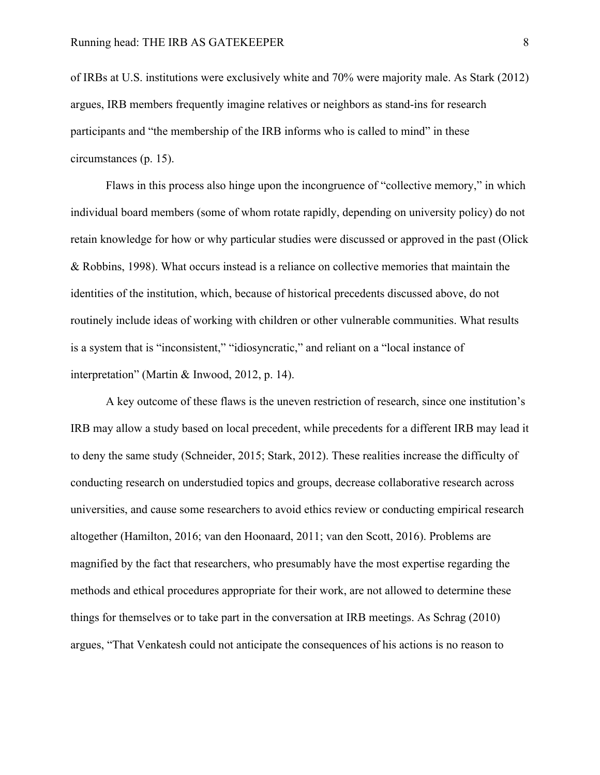of IRBs at U.S. institutions were exclusively white and 70% were majority male. As Stark (2012) argues, IRB members frequently imagine relatives or neighbors as stand-ins for research participants and "the membership of the IRB informs who is called to mind" in these circumstances (p. 15).

Flaws in this process also hinge upon the incongruence of "collective memory," in which individual board members (some of whom rotate rapidly, depending on university policy) do not retain knowledge for how or why particular studies were discussed or approved in the past (Olick & Robbins, 1998). What occurs instead is a reliance on collective memories that maintain the identities of the institution, which, because of historical precedents discussed above, do not routinely include ideas of working with children or other vulnerable communities. What results is a system that is "inconsistent," "idiosyncratic," and reliant on a "local instance of interpretation" (Martin & Inwood, 2012, p. 14).

A key outcome of these flaws is the uneven restriction of research, since one institution's IRB may allow a study based on local precedent, while precedents for a different IRB may lead it to deny the same study (Schneider, 2015; Stark, 2012). These realities increase the difficulty of conducting research on understudied topics and groups, decrease collaborative research across universities, and cause some researchers to avoid ethics review or conducting empirical research altogether (Hamilton, 2016; van den Hoonaard, 2011; van den Scott, 2016). Problems are magnified by the fact that researchers, who presumably have the most expertise regarding the methods and ethical procedures appropriate for their work, are not allowed to determine these things for themselves or to take part in the conversation at IRB meetings. As Schrag (2010) argues, "That Venkatesh could not anticipate the consequences of his actions is no reason to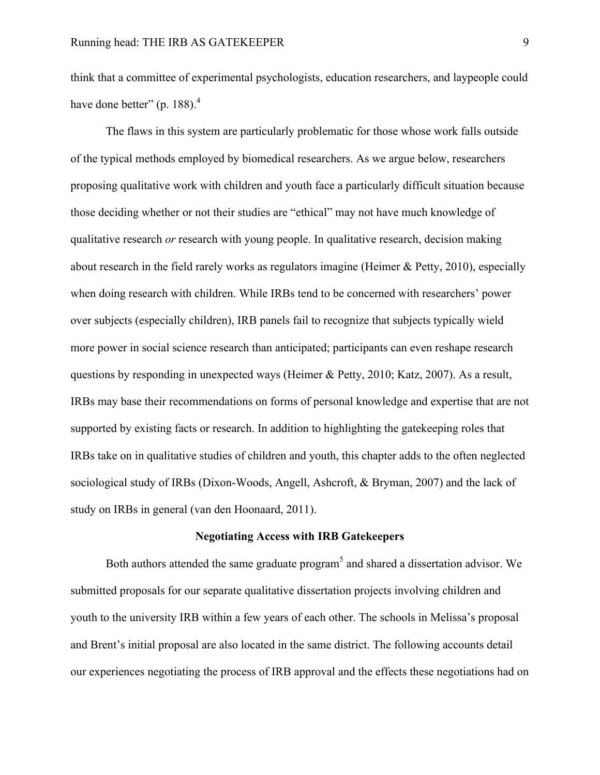think that a committee of experimental psychologists, education researchers, and laypeople could have done better" (p. 188). $<sup>4</sup>$ </sup>

The flaws in this system are particularly problematic for those whose work falls outside of the typical methods employed by biomedical researchers. As we argue below, researchers proposing qualitative work with children and youth face a particularly difficult situation because those deciding whether or not their studies are "ethical" may not have much knowledge of qualitative research *or* research with young people. In qualitative research, decision making about research in the field rarely works as regulators imagine (Heimer & Petty, 2010), especially when doing research with children. While IRBs tend to be concerned with researchers' power over subjects (especially children), IRB panels fail to recognize that subjects typically wield more power in social science research than anticipated; participants can even reshape research questions by responding in unexpected ways (Heimer & Petty, 2010; Katz, 2007). As a result, IRBs may base their recommendations on forms of personal knowledge and expertise that are not supported by existing facts or research. In addition to highlighting the gatekeeping roles that IRBs take on in qualitative studies of children and youth, this chapter adds to the often neglected sociological study of IRBs (Dixon-Woods, Angell, Ashcroft, & Bryman, 2007) and the lack of study on IRBs in general (van den Hoonaard, 2011).

#### **Negotiating Access with IRB Gatekeepers**

Both authors attended the same graduate program<sup>5</sup> and shared a dissertation advisor. We submitted proposals for our separate qualitative dissertation projects involving children and youth to the university IRB within a few years of each other. The schools in Melissa's proposal and Brent's initial proposal are also located in the same district. The following accounts detail our experiences negotiating the process of IRB approval and the effects these negotiations had on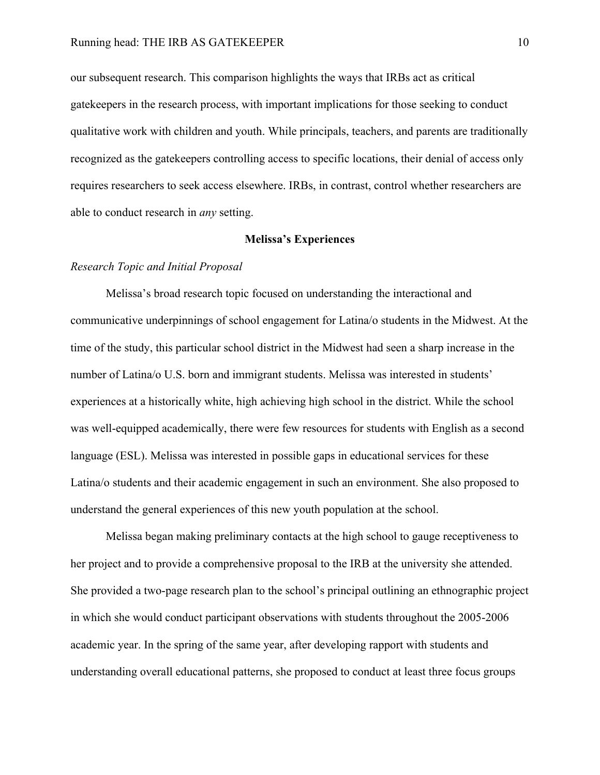our subsequent research. This comparison highlights the ways that IRBs act as critical gatekeepers in the research process, with important implications for those seeking to conduct qualitative work with children and youth. While principals, teachers, and parents are traditionally recognized as the gatekeepers controlling access to specific locations, their denial of access only requires researchers to seek access elsewhere. IRBs, in contrast, control whether researchers are able to conduct research in *any* setting.

#### **Melissa's Experiences**

#### *Research Topic and Initial Proposal*

Melissa's broad research topic focused on understanding the interactional and communicative underpinnings of school engagement for Latina/o students in the Midwest. At the time of the study, this particular school district in the Midwest had seen a sharp increase in the number of Latina/o U.S. born and immigrant students. Melissa was interested in students' experiences at a historically white, high achieving high school in the district. While the school was well-equipped academically, there were few resources for students with English as a second language (ESL). Melissa was interested in possible gaps in educational services for these Latina/o students and their academic engagement in such an environment. She also proposed to understand the general experiences of this new youth population at the school.

Melissa began making preliminary contacts at the high school to gauge receptiveness to her project and to provide a comprehensive proposal to the IRB at the university she attended. She provided a two-page research plan to the school's principal outlining an ethnographic project in which she would conduct participant observations with students throughout the 2005-2006 academic year. In the spring of the same year, after developing rapport with students and understanding overall educational patterns, she proposed to conduct at least three focus groups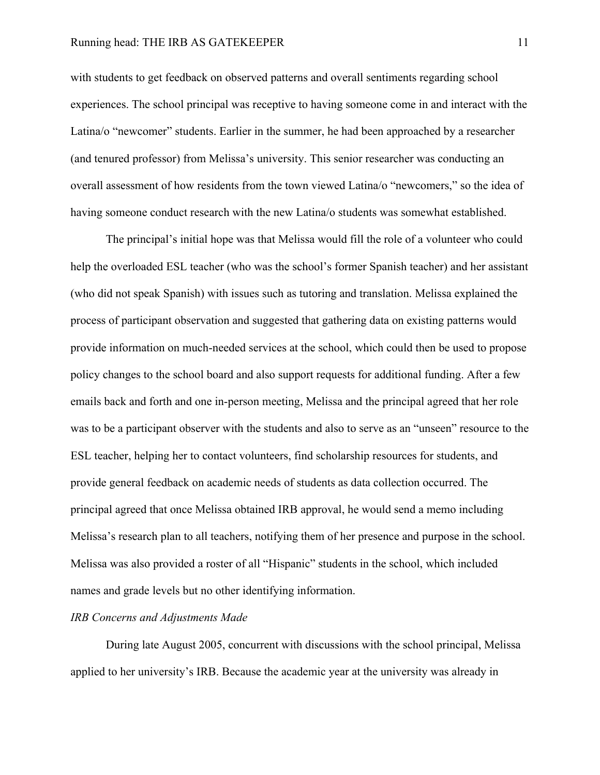with students to get feedback on observed patterns and overall sentiments regarding school experiences. The school principal was receptive to having someone come in and interact with the Latina/o "newcomer" students. Earlier in the summer, he had been approached by a researcher (and tenured professor) from Melissa's university. This senior researcher was conducting an overall assessment of how residents from the town viewed Latina/o "newcomers," so the idea of having someone conduct research with the new Latina/o students was somewhat established.

The principal's initial hope was that Melissa would fill the role of a volunteer who could help the overloaded ESL teacher (who was the school's former Spanish teacher) and her assistant (who did not speak Spanish) with issues such as tutoring and translation. Melissa explained the process of participant observation and suggested that gathering data on existing patterns would provide information on much-needed services at the school, which could then be used to propose policy changes to the school board and also support requests for additional funding. After a few emails back and forth and one in-person meeting, Melissa and the principal agreed that her role was to be a participant observer with the students and also to serve as an "unseen" resource to the ESL teacher, helping her to contact volunteers, find scholarship resources for students, and provide general feedback on academic needs of students as data collection occurred. The principal agreed that once Melissa obtained IRB approval, he would send a memo including Melissa's research plan to all teachers, notifying them of her presence and purpose in the school. Melissa was also provided a roster of all "Hispanic" students in the school, which included names and grade levels but no other identifying information.

#### *IRB Concerns and Adjustments Made*

During late August 2005, concurrent with discussions with the school principal, Melissa applied to her university's IRB. Because the academic year at the university was already in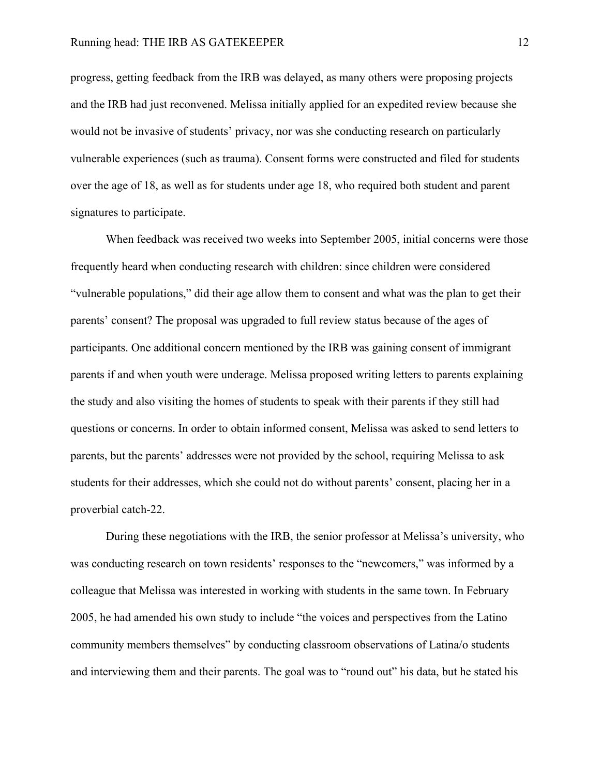progress, getting feedback from the IRB was delayed, as many others were proposing projects and the IRB had just reconvened. Melissa initially applied for an expedited review because she would not be invasive of students' privacy, nor was she conducting research on particularly vulnerable experiences (such as trauma). Consent forms were constructed and filed for students over the age of 18, as well as for students under age 18, who required both student and parent signatures to participate.

When feedback was received two weeks into September 2005, initial concerns were those frequently heard when conducting research with children: since children were considered "vulnerable populations," did their age allow them to consent and what was the plan to get their parents' consent? The proposal was upgraded to full review status because of the ages of participants. One additional concern mentioned by the IRB was gaining consent of immigrant parents if and when youth were underage. Melissa proposed writing letters to parents explaining the study and also visiting the homes of students to speak with their parents if they still had questions or concerns. In order to obtain informed consent, Melissa was asked to send letters to parents, but the parents' addresses were not provided by the school, requiring Melissa to ask students for their addresses, which she could not do without parents' consent, placing her in a proverbial catch-22.

During these negotiations with the IRB, the senior professor at Melissa's university, who was conducting research on town residents' responses to the "newcomers," was informed by a colleague that Melissa was interested in working with students in the same town. In February 2005, he had amended his own study to include "the voices and perspectives from the Latino community members themselves" by conducting classroom observations of Latina/o students and interviewing them and their parents. The goal was to "round out" his data, but he stated his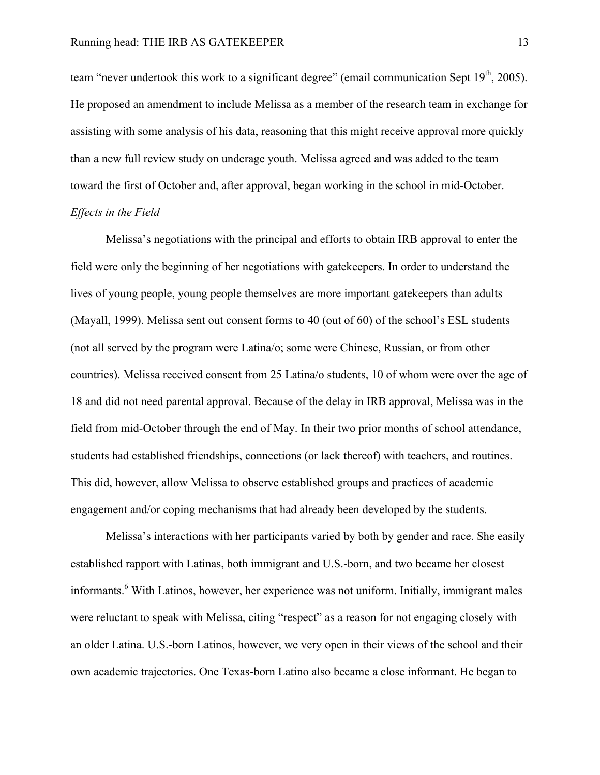team "never undertook this work to a significant degree" (email communication Sept  $19<sup>th</sup>$ , 2005). He proposed an amendment to include Melissa as a member of the research team in exchange for assisting with some analysis of his data, reasoning that this might receive approval more quickly than a new full review study on underage youth. Melissa agreed and was added to the team toward the first of October and, after approval, began working in the school in mid-October. *Effects in the Field*

Melissa's negotiations with the principal and efforts to obtain IRB approval to enter the field were only the beginning of her negotiations with gatekeepers. In order to understand the lives of young people, young people themselves are more important gatekeepers than adults (Mayall, 1999). Melissa sent out consent forms to 40 (out of 60) of the school's ESL students (not all served by the program were Latina/o; some were Chinese, Russian, or from other countries). Melissa received consent from 25 Latina/o students, 10 of whom were over the age of 18 and did not need parental approval. Because of the delay in IRB approval, Melissa was in the field from mid-October through the end of May. In their two prior months of school attendance, students had established friendships, connections (or lack thereof) with teachers, and routines. This did, however, allow Melissa to observe established groups and practices of academic engagement and/or coping mechanisms that had already been developed by the students.

Melissa's interactions with her participants varied by both by gender and race. She easily established rapport with Latinas, both immigrant and U.S.-born, and two became her closest informants.<sup>6</sup> With Latinos, however, her experience was not uniform. Initially, immigrant males were reluctant to speak with Melissa, citing "respect" as a reason for not engaging closely with an older Latina. U.S.-born Latinos, however, we very open in their views of the school and their own academic trajectories. One Texas-born Latino also became a close informant. He began to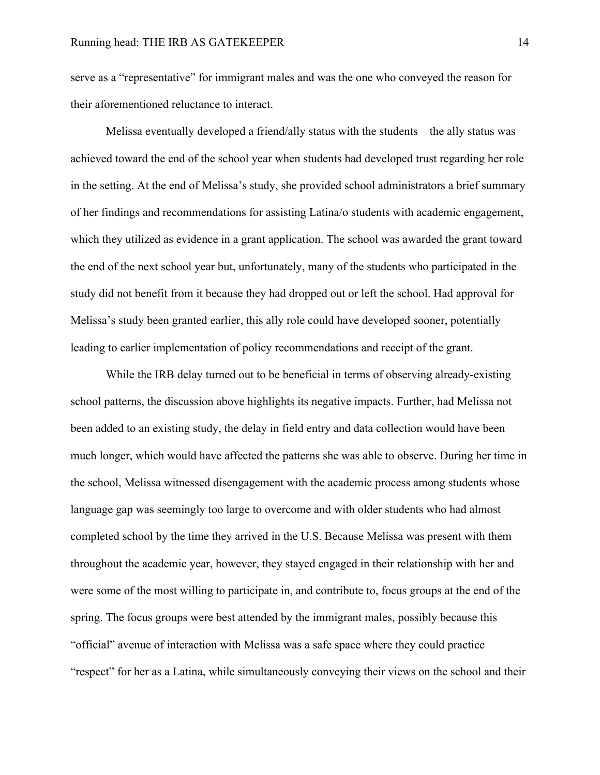serve as a "representative" for immigrant males and was the one who conveyed the reason for their aforementioned reluctance to interact.

Melissa eventually developed a friend/ally status with the students – the ally status was achieved toward the end of the school year when students had developed trust regarding her role in the setting. At the end of Melissa's study, she provided school administrators a brief summary of her findings and recommendations for assisting Latina/o students with academic engagement, which they utilized as evidence in a grant application. The school was awarded the grant toward the end of the next school year but, unfortunately, many of the students who participated in the study did not benefit from it because they had dropped out or left the school. Had approval for Melissa's study been granted earlier, this ally role could have developed sooner, potentially leading to earlier implementation of policy recommendations and receipt of the grant.

While the IRB delay turned out to be beneficial in terms of observing already-existing school patterns, the discussion above highlights its negative impacts. Further, had Melissa not been added to an existing study, the delay in field entry and data collection would have been much longer, which would have affected the patterns she was able to observe. During her time in the school, Melissa witnessed disengagement with the academic process among students whose language gap was seemingly too large to overcome and with older students who had almost completed school by the time they arrived in the U.S. Because Melissa was present with them throughout the academic year, however, they stayed engaged in their relationship with her and were some of the most willing to participate in, and contribute to, focus groups at the end of the spring. The focus groups were best attended by the immigrant males, possibly because this "official" avenue of interaction with Melissa was a safe space where they could practice "respect" for her as a Latina, while simultaneously conveying their views on the school and their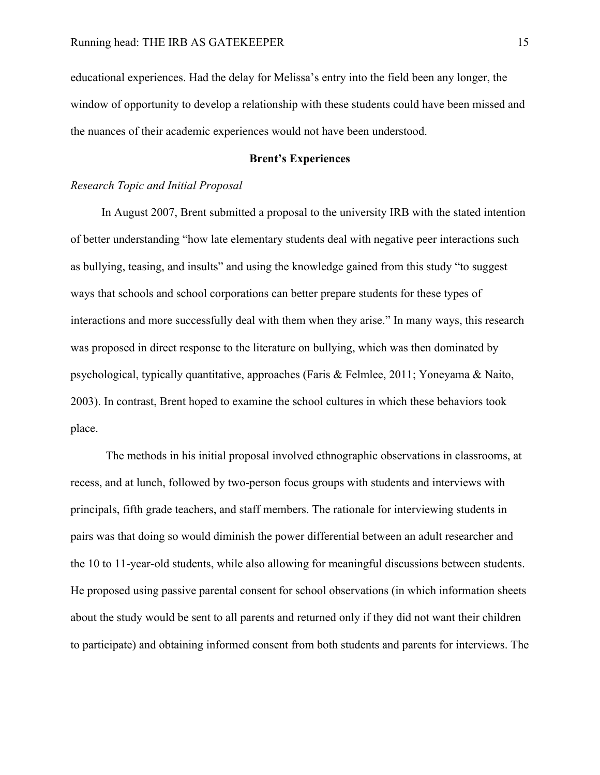educational experiences. Had the delay for Melissa's entry into the field been any longer, the window of opportunity to develop a relationship with these students could have been missed and the nuances of their academic experiences would not have been understood.

## **Brent's Experiences**

#### *Research Topic and Initial Proposal*

In August 2007, Brent submitted a proposal to the university IRB with the stated intention of better understanding "how late elementary students deal with negative peer interactions such as bullying, teasing, and insults" and using the knowledge gained from this study "to suggest ways that schools and school corporations can better prepare students for these types of interactions and more successfully deal with them when they arise." In many ways, this research was proposed in direct response to the literature on bullying, which was then dominated by psychological, typically quantitative, approaches (Faris & Felmlee, 2011; Yoneyama & Naito, 2003). In contrast, Brent hoped to examine the school cultures in which these behaviors took place.

The methods in his initial proposal involved ethnographic observations in classrooms, at recess, and at lunch, followed by two-person focus groups with students and interviews with principals, fifth grade teachers, and staff members. The rationale for interviewing students in pairs was that doing so would diminish the power differential between an adult researcher and the 10 to 11-year-old students, while also allowing for meaningful discussions between students. He proposed using passive parental consent for school observations (in which information sheets about the study would be sent to all parents and returned only if they did not want their children to participate) and obtaining informed consent from both students and parents for interviews. The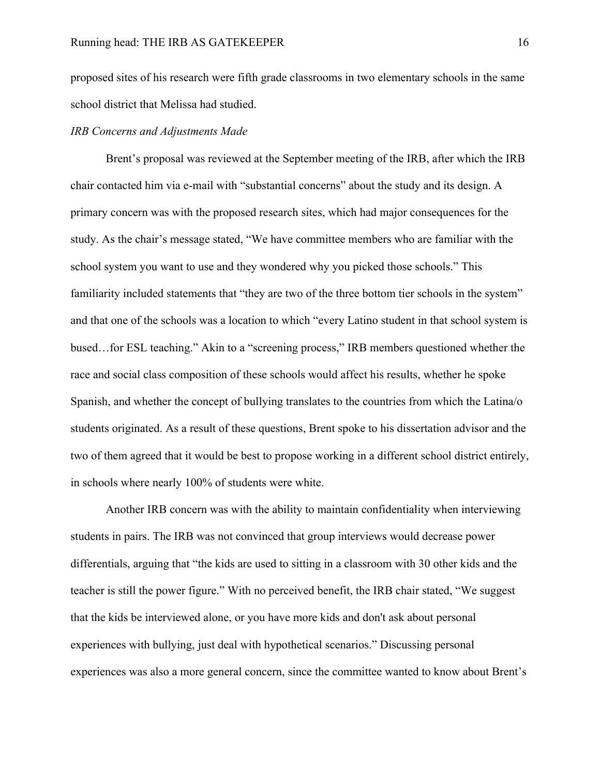proposed sites of his research were fifth grade classrooms in two elementary schools in the same school district that Melissa had studied.

## *IRB Concerns and Adjustments Made*

Brent's proposal was reviewed at the September meeting of the IRB, after which the IRB chair contacted him via e-mail with "substantial concerns" about the study and its design. A primary concern was with the proposed research sites, which had major consequences for the study. As the chair's message stated, "We have committee members who are familiar with the school system you want to use and they wondered why you picked those schools." This familiarity included statements that "they are two of the three bottom tier schools in the system" and that one of the schools was a location to which "every Latino student in that school system is bused…for ESL teaching." Akin to a "screening process," IRB members questioned whether the race and social class composition of these schools would affect his results, whether he spoke Spanish, and whether the concept of bullying translates to the countries from which the Latina/o students originated. As a result of these questions, Brent spoke to his dissertation advisor and the two of them agreed that it would be best to propose working in a different school district entirely, in schools where nearly 100% of students were white.

Another IRB concern was with the ability to maintain confidentiality when interviewing students in pairs. The IRB was not convinced that group interviews would decrease power differentials, arguing that "the kids are used to sitting in a classroom with 30 other kids and the teacher is still the power figure." With no perceived benefit, the IRB chair stated, "We suggest that the kids be interviewed alone, or you have more kids and don't ask about personal experiences with bullying, just deal with hypothetical scenarios." Discussing personal experiences was also a more general concern, since the committee wanted to know about Brent's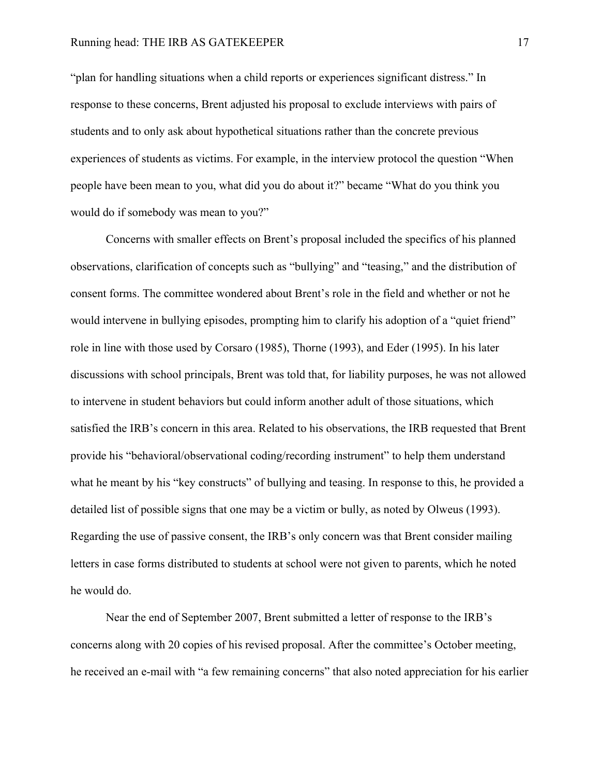"plan for handling situations when a child reports or experiences significant distress." In response to these concerns, Brent adjusted his proposal to exclude interviews with pairs of students and to only ask about hypothetical situations rather than the concrete previous experiences of students as victims. For example, in the interview protocol the question "When people have been mean to you, what did you do about it?" became "What do you think you would do if somebody was mean to you?"

Concerns with smaller effects on Brent's proposal included the specifics of his planned observations, clarification of concepts such as "bullying" and "teasing," and the distribution of consent forms. The committee wondered about Brent's role in the field and whether or not he would intervene in bullying episodes, prompting him to clarify his adoption of a "quiet friend" role in line with those used by Corsaro (1985), Thorne (1993), and Eder (1995). In his later discussions with school principals, Brent was told that, for liability purposes, he was not allowed to intervene in student behaviors but could inform another adult of those situations, which satisfied the IRB's concern in this area. Related to his observations, the IRB requested that Brent provide his "behavioral/observational coding/recording instrument" to help them understand what he meant by his "key constructs" of bullying and teasing. In response to this, he provided a detailed list of possible signs that one may be a victim or bully, as noted by Olweus (1993). Regarding the use of passive consent, the IRB's only concern was that Brent consider mailing letters in case forms distributed to students at school were not given to parents, which he noted he would do.

Near the end of September 2007, Brent submitted a letter of response to the IRB's concerns along with 20 copies of his revised proposal. After the committee's October meeting, he received an e-mail with "a few remaining concerns" that also noted appreciation for his earlier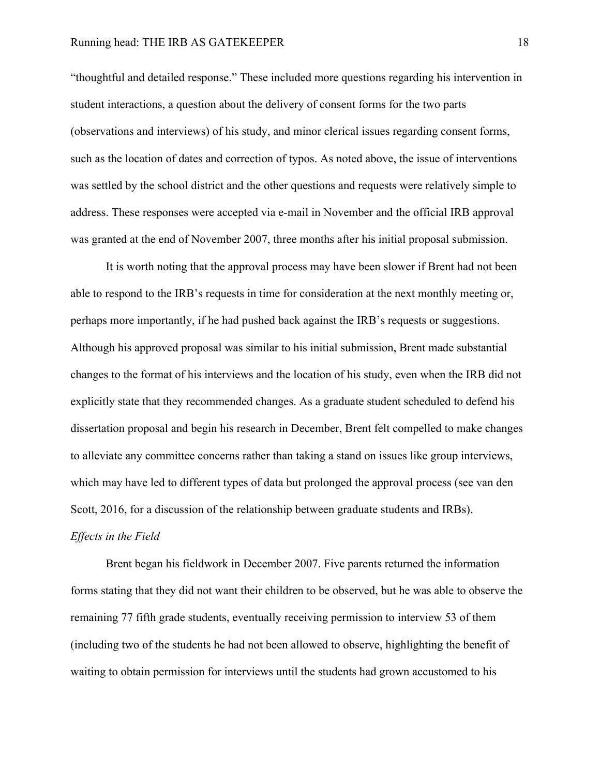"thoughtful and detailed response." These included more questions regarding his intervention in student interactions, a question about the delivery of consent forms for the two parts (observations and interviews) of his study, and minor clerical issues regarding consent forms, such as the location of dates and correction of typos. As noted above, the issue of interventions was settled by the school district and the other questions and requests were relatively simple to address. These responses were accepted via e-mail in November and the official IRB approval was granted at the end of November 2007, three months after his initial proposal submission.

It is worth noting that the approval process may have been slower if Brent had not been able to respond to the IRB's requests in time for consideration at the next monthly meeting or, perhaps more importantly, if he had pushed back against the IRB's requests or suggestions. Although his approved proposal was similar to his initial submission, Brent made substantial changes to the format of his interviews and the location of his study, even when the IRB did not explicitly state that they recommended changes. As a graduate student scheduled to defend his dissertation proposal and begin his research in December, Brent felt compelled to make changes to alleviate any committee concerns rather than taking a stand on issues like group interviews, which may have led to different types of data but prolonged the approval process (see van den Scott, 2016, for a discussion of the relationship between graduate students and IRBs). *Effects in the Field*

Brent began his fieldwork in December 2007. Five parents returned the information forms stating that they did not want their children to be observed, but he was able to observe the remaining 77 fifth grade students, eventually receiving permission to interview 53 of them (including two of the students he had not been allowed to observe, highlighting the benefit of waiting to obtain permission for interviews until the students had grown accustomed to his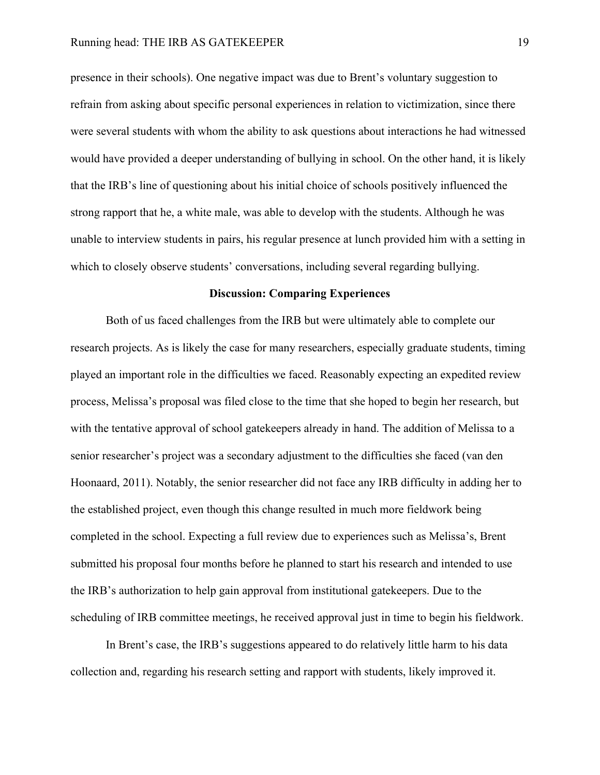presence in their schools). One negative impact was due to Brent's voluntary suggestion to refrain from asking about specific personal experiences in relation to victimization, since there were several students with whom the ability to ask questions about interactions he had witnessed would have provided a deeper understanding of bullying in school. On the other hand, it is likely that the IRB's line of questioning about his initial choice of schools positively influenced the strong rapport that he, a white male, was able to develop with the students. Although he was unable to interview students in pairs, his regular presence at lunch provided him with a setting in which to closely observe students' conversations, including several regarding bullying.

#### **Discussion: Comparing Experiences**

Both of us faced challenges from the IRB but were ultimately able to complete our research projects. As is likely the case for many researchers, especially graduate students, timing played an important role in the difficulties we faced. Reasonably expecting an expedited review process, Melissa's proposal was filed close to the time that she hoped to begin her research, but with the tentative approval of school gatekeepers already in hand. The addition of Melissa to a senior researcher's project was a secondary adjustment to the difficulties she faced (van den Hoonaard, 2011). Notably, the senior researcher did not face any IRB difficulty in adding her to the established project, even though this change resulted in much more fieldwork being completed in the school. Expecting a full review due to experiences such as Melissa's, Brent submitted his proposal four months before he planned to start his research and intended to use the IRB's authorization to help gain approval from institutional gatekeepers. Due to the scheduling of IRB committee meetings, he received approval just in time to begin his fieldwork.

In Brent's case, the IRB's suggestions appeared to do relatively little harm to his data collection and, regarding his research setting and rapport with students, likely improved it.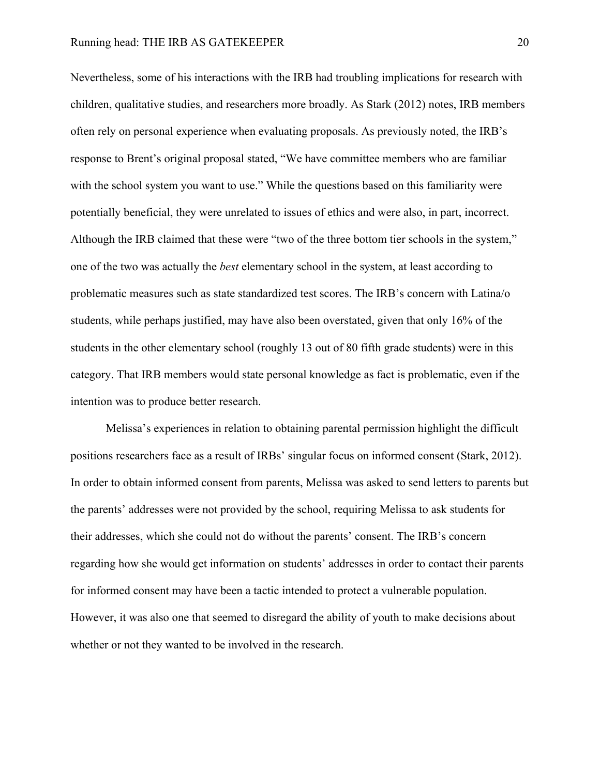Nevertheless, some of his interactions with the IRB had troubling implications for research with children, qualitative studies, and researchers more broadly. As Stark (2012) notes, IRB members often rely on personal experience when evaluating proposals. As previously noted, the IRB's response to Brent's original proposal stated, "We have committee members who are familiar with the school system you want to use." While the questions based on this familiarity were potentially beneficial, they were unrelated to issues of ethics and were also, in part, incorrect. Although the IRB claimed that these were "two of the three bottom tier schools in the system," one of the two was actually the *best* elementary school in the system, at least according to problematic measures such as state standardized test scores. The IRB's concern with Latina/o students, while perhaps justified, may have also been overstated, given that only 16% of the students in the other elementary school (roughly 13 out of 80 fifth grade students) were in this category. That IRB members would state personal knowledge as fact is problematic, even if the intention was to produce better research.

Melissa's experiences in relation to obtaining parental permission highlight the difficult positions researchers face as a result of IRBs' singular focus on informed consent (Stark, 2012). In order to obtain informed consent from parents, Melissa was asked to send letters to parents but the parents' addresses were not provided by the school, requiring Melissa to ask students for their addresses, which she could not do without the parents' consent. The IRB's concern regarding how she would get information on students' addresses in order to contact their parents for informed consent may have been a tactic intended to protect a vulnerable population. However, it was also one that seemed to disregard the ability of youth to make decisions about whether or not they wanted to be involved in the research.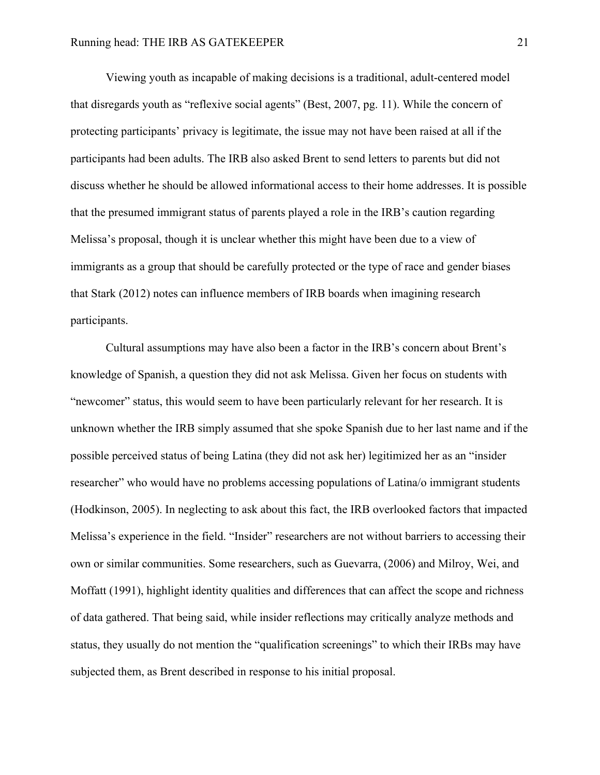Viewing youth as incapable of making decisions is a traditional, adult-centered model that disregards youth as "reflexive social agents" (Best, 2007, pg. 11). While the concern of protecting participants' privacy is legitimate, the issue may not have been raised at all if the participants had been adults. The IRB also asked Brent to send letters to parents but did not discuss whether he should be allowed informational access to their home addresses. It is possible that the presumed immigrant status of parents played a role in the IRB's caution regarding Melissa's proposal, though it is unclear whether this might have been due to a view of immigrants as a group that should be carefully protected or the type of race and gender biases that Stark (2012) notes can influence members of IRB boards when imagining research participants.

Cultural assumptions may have also been a factor in the IRB's concern about Brent's knowledge of Spanish, a question they did not ask Melissa. Given her focus on students with "newcomer" status, this would seem to have been particularly relevant for her research. It is unknown whether the IRB simply assumed that she spoke Spanish due to her last name and if the possible perceived status of being Latina (they did not ask her) legitimized her as an "insider researcher" who would have no problems accessing populations of Latina/o immigrant students (Hodkinson, 2005). In neglecting to ask about this fact, the IRB overlooked factors that impacted Melissa's experience in the field. "Insider" researchers are not without barriers to accessing their own or similar communities. Some researchers, such as Guevarra, (2006) and Milroy, Wei, and Moffatt (1991), highlight identity qualities and differences that can affect the scope and richness of data gathered. That being said, while insider reflections may critically analyze methods and status, they usually do not mention the "qualification screenings" to which their IRBs may have subjected them, as Brent described in response to his initial proposal.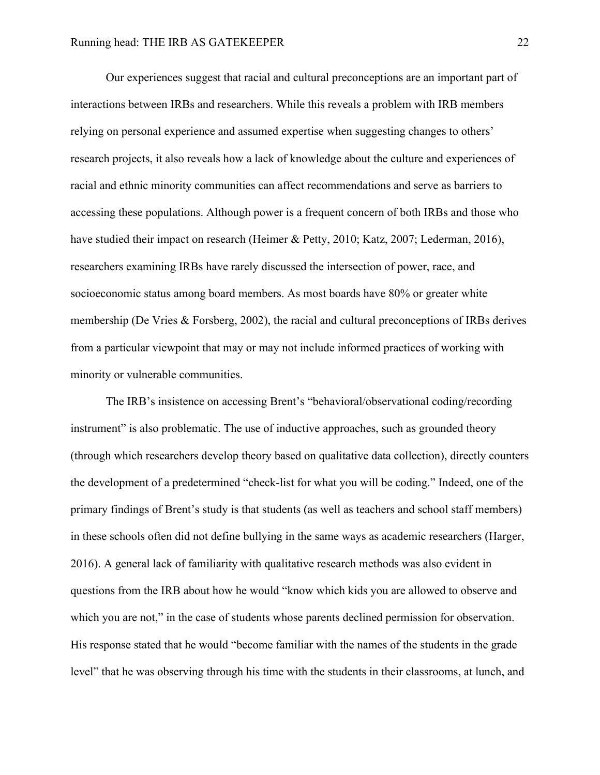Our experiences suggest that racial and cultural preconceptions are an important part of interactions between IRBs and researchers. While this reveals a problem with IRB members relying on personal experience and assumed expertise when suggesting changes to others' research projects, it also reveals how a lack of knowledge about the culture and experiences of racial and ethnic minority communities can affect recommendations and serve as barriers to accessing these populations. Although power is a frequent concern of both IRBs and those who have studied their impact on research (Heimer & Petty, 2010; Katz, 2007; Lederman, 2016), researchers examining IRBs have rarely discussed the intersection of power, race, and socioeconomic status among board members. As most boards have 80% or greater white membership (De Vries & Forsberg, 2002), the racial and cultural preconceptions of IRBs derives from a particular viewpoint that may or may not include informed practices of working with minority or vulnerable communities.

The IRB's insistence on accessing Brent's "behavioral/observational coding/recording instrument" is also problematic. The use of inductive approaches, such as grounded theory (through which researchers develop theory based on qualitative data collection), directly counters the development of a predetermined "check-list for what you will be coding." Indeed, one of the primary findings of Brent's study is that students (as well as teachers and school staff members) in these schools often did not define bullying in the same ways as academic researchers (Harger, 2016). A general lack of familiarity with qualitative research methods was also evident in questions from the IRB about how he would "know which kids you are allowed to observe and which you are not," in the case of students whose parents declined permission for observation. His response stated that he would "become familiar with the names of the students in the grade level" that he was observing through his time with the students in their classrooms, at lunch, and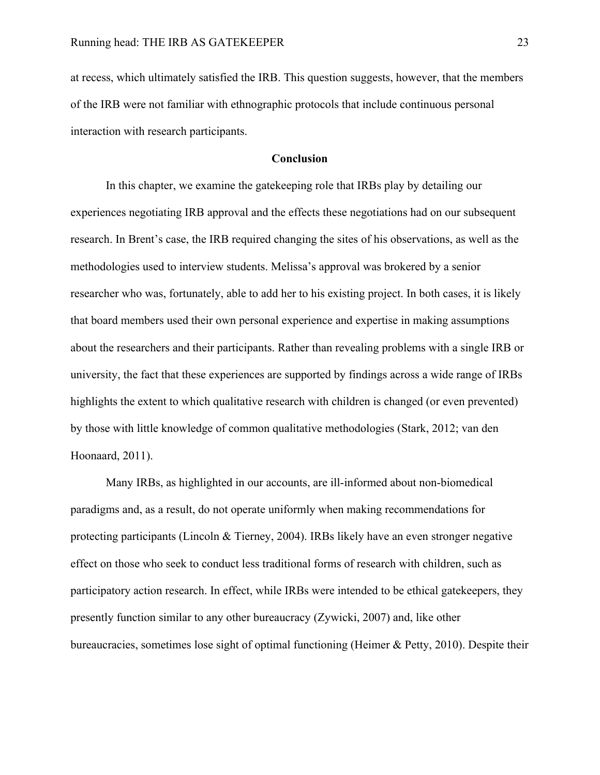at recess, which ultimately satisfied the IRB. This question suggests, however, that the members of the IRB were not familiar with ethnographic protocols that include continuous personal interaction with research participants.

## **Conclusion**

In this chapter, we examine the gatekeeping role that IRBs play by detailing our experiences negotiating IRB approval and the effects these negotiations had on our subsequent research. In Brent's case, the IRB required changing the sites of his observations, as well as the methodologies used to interview students. Melissa's approval was brokered by a senior researcher who was, fortunately, able to add her to his existing project. In both cases, it is likely that board members used their own personal experience and expertise in making assumptions about the researchers and their participants. Rather than revealing problems with a single IRB or university, the fact that these experiences are supported by findings across a wide range of IRBs highlights the extent to which qualitative research with children is changed (or even prevented) by those with little knowledge of common qualitative methodologies (Stark, 2012; van den Hoonaard, 2011).

Many IRBs, as highlighted in our accounts, are ill-informed about non-biomedical paradigms and, as a result, do not operate uniformly when making recommendations for protecting participants (Lincoln & Tierney, 2004). IRBs likely have an even stronger negative effect on those who seek to conduct less traditional forms of research with children, such as participatory action research. In effect, while IRBs were intended to be ethical gatekeepers, they presently function similar to any other bureaucracy (Zywicki, 2007) and, like other bureaucracies, sometimes lose sight of optimal functioning (Heimer & Petty, 2010). Despite their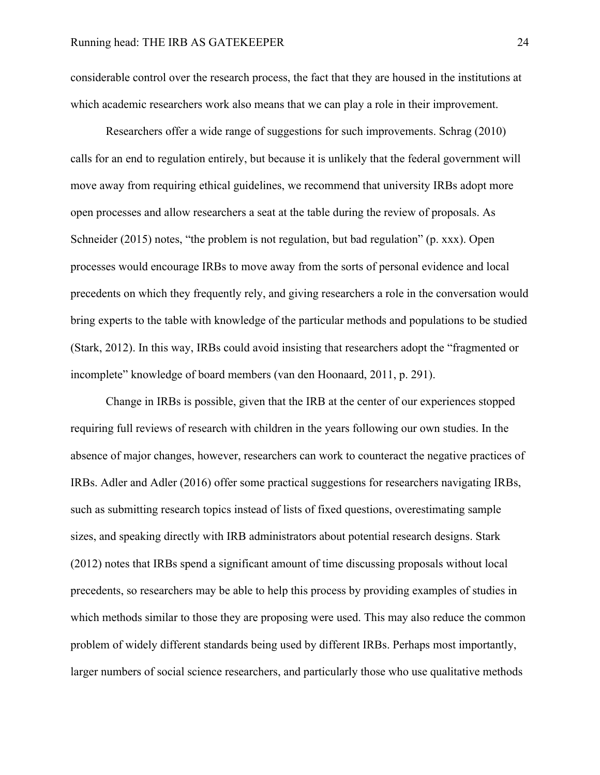considerable control over the research process, the fact that they are housed in the institutions at which academic researchers work also means that we can play a role in their improvement.

Researchers offer a wide range of suggestions for such improvements. Schrag (2010) calls for an end to regulation entirely, but because it is unlikely that the federal government will move away from requiring ethical guidelines, we recommend that university IRBs adopt more open processes and allow researchers a seat at the table during the review of proposals. As Schneider (2015) notes, "the problem is not regulation, but bad regulation" (p. xxx). Open processes would encourage IRBs to move away from the sorts of personal evidence and local precedents on which they frequently rely, and giving researchers a role in the conversation would bring experts to the table with knowledge of the particular methods and populations to be studied (Stark, 2012). In this way, IRBs could avoid insisting that researchers adopt the "fragmented or incomplete" knowledge of board members (van den Hoonaard, 2011, p. 291).

Change in IRBs is possible, given that the IRB at the center of our experiences stopped requiring full reviews of research with children in the years following our own studies. In the absence of major changes, however, researchers can work to counteract the negative practices of IRBs. Adler and Adler (2016) offer some practical suggestions for researchers navigating IRBs, such as submitting research topics instead of lists of fixed questions, overestimating sample sizes, and speaking directly with IRB administrators about potential research designs. Stark (2012) notes that IRBs spend a significant amount of time discussing proposals without local precedents, so researchers may be able to help this process by providing examples of studies in which methods similar to those they are proposing were used. This may also reduce the common problem of widely different standards being used by different IRBs. Perhaps most importantly, larger numbers of social science researchers, and particularly those who use qualitative methods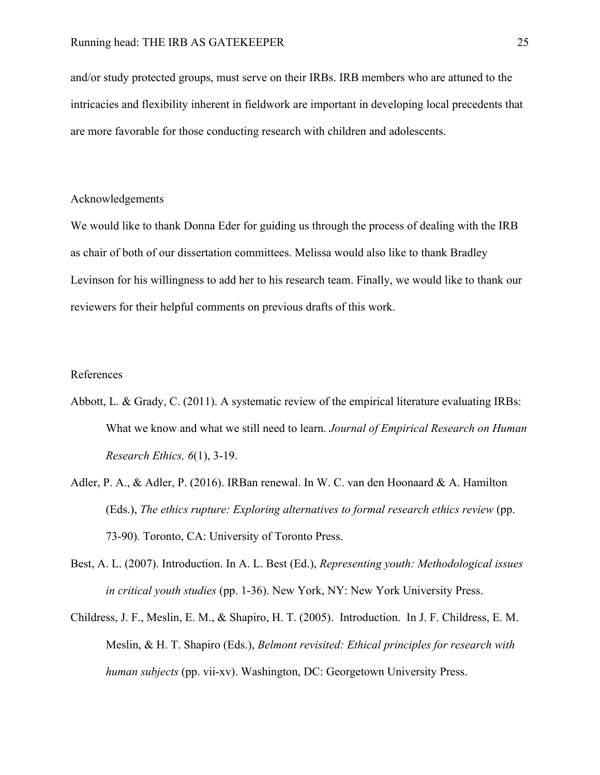and/or study protected groups, must serve on their IRBs. IRB members who are attuned to the intricacies and flexibility inherent in fieldwork are important in developing local precedents that are more favorable for those conducting research with children and adolescents.

#### Acknowledgements

We would like to thank Donna Eder for guiding us through the process of dealing with the IRB as chair of both of our dissertation committees. Melissa would also like to thank Bradley Levinson for his willingness to add her to his research team. Finally, we would like to thank our reviewers for their helpful comments on previous drafts of this work.

#### References

- Abbott, L. & Grady, C. (2011). A systematic review of the empirical literature evaluating IRBs: What we know and what we still need to learn. *Journal of Empirical Research on Human Research Ethics, 6*(1), 3-19.
- Adler, P. A., & Adler, P. (2016). IRBan renewal. In W. C. van den Hoonaard & A. Hamilton (Eds.), *The ethics rupture: Exploring alternatives to formal research ethics review* (pp. 73-90)*.* Toronto, CA: University of Toronto Press.
- Best, A. L. (2007). Introduction. In A. L. Best (Ed.), *Representing youth: Methodological issues in critical youth studies* (pp. 1-36). New York, NY: New York University Press.
- Childress, J. F., Meslin, E. M., & Shapiro, H. T. (2005). Introduction. In J. F. Childress, E. M. Meslin, & H. T. Shapiro (Eds.), *Belmont revisited: Ethical principles for research with human subjects* (pp. vii-xv). Washington, DC: Georgetown University Press.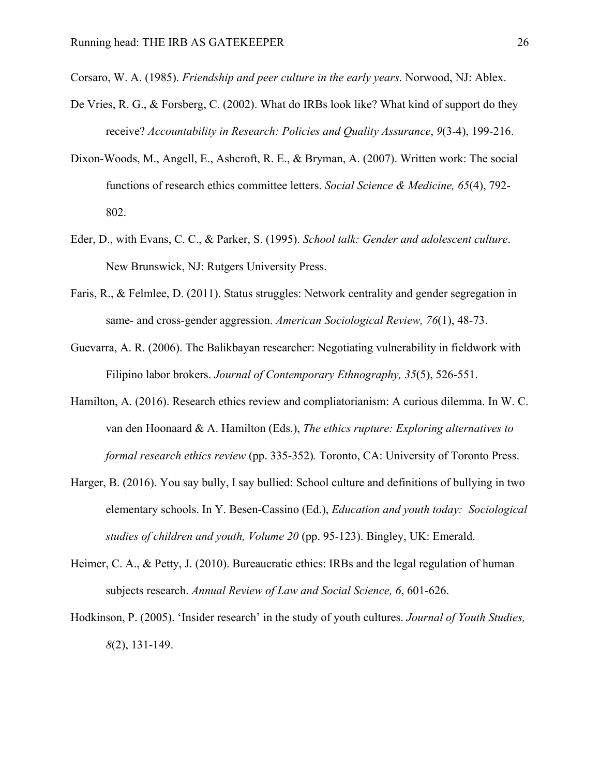- Corsaro, W. A. (1985). *Friendship and peer culture in the early years*. Norwood, NJ: Ablex.
- De Vries, R. G., & Forsberg, C. (2002). What do IRBs look like? What kind of support do they receive? *Accountability in Research: Policies and Quality Assurance*, *9*(3-4), 199-216.
- Dixon-Woods, M., Angell, E., Ashcroft, R. E., & Bryman, A. (2007). Written work: The social functions of research ethics committee letters. *Social Science & Medicine, 65*(4), 792- 802.
- Eder, D., with Evans, C. C., & Parker, S. (1995). *School talk: Gender and adolescent culture*. New Brunswick, NJ: Rutgers University Press.
- Faris, R., & Felmlee, D. (2011). Status struggles: Network centrality and gender segregation in same- and cross-gender aggression. *American Sociological Review, 76*(1), 48-73.
- Guevarra, A. R. (2006). The Balikbayan researcher: Negotiating vulnerability in fieldwork with Filipino labor brokers. *Journal of Contemporary Ethnography, 35*(5), 526-551.
- Hamilton, A. (2016). Research ethics review and compliatorianism: A curious dilemma. In W. C. van den Hoonaard & A. Hamilton (Eds.), *The ethics rupture: Exploring alternatives to formal research ethics review* (pp. 335-352)*.* Toronto, CA: University of Toronto Press.
- Harger, B. (2016). You say bully, I say bullied: School culture and definitions of bullying in two elementary schools. In Y. Besen-Cassino (Ed.), *Education and youth today: Sociological studies of children and youth, Volume 20* (pp. 95-123). Bingley, UK: Emerald.
- Heimer, C. A., & Petty, J. (2010). Bureaucratic ethics: IRBs and the legal regulation of human subjects research. *Annual Review of Law and Social Science, 6*, 601-626.
- Hodkinson, P. (2005). 'Insider research' in the study of youth cultures. *Journal of Youth Studies, 8*(2), 131-149.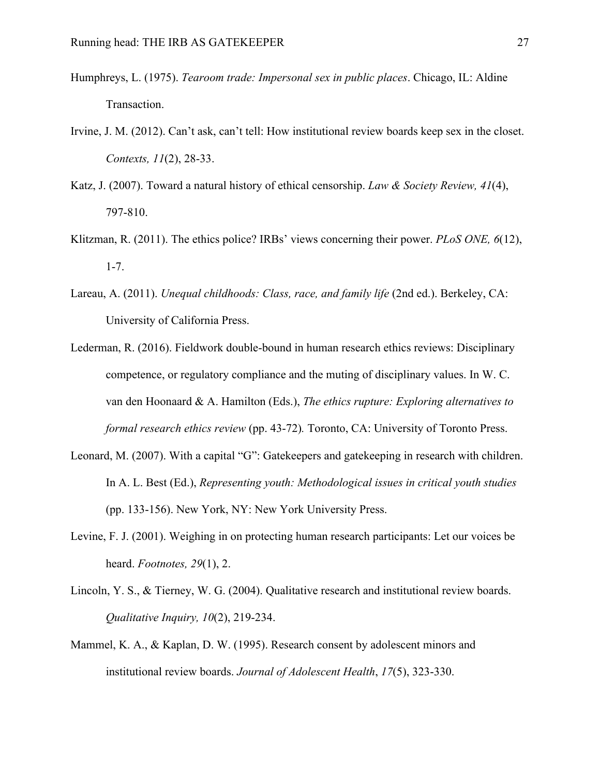- Humphreys, L. (1975). *Tearoom trade: Impersonal sex in public places*. Chicago, IL: Aldine Transaction.
- Irvine, J. M. (2012). Can't ask, can't tell: How institutional review boards keep sex in the closet. *Contexts, 11*(2), 28-33.
- Katz, J. (2007). Toward a natural history of ethical censorship. *Law & Society Review, 41*(4), 797-810.
- Klitzman, R. (2011). The ethics police? IRBs' views concerning their power. *PLoS ONE, 6*(12), 1-7.
- Lareau, A. (2011). *Unequal childhoods: Class, race, and family life* (2nd ed.). Berkeley, CA: University of California Press.
- Lederman, R. (2016). Fieldwork double-bound in human research ethics reviews: Disciplinary competence, or regulatory compliance and the muting of disciplinary values. In W. C. van den Hoonaard & A. Hamilton (Eds.), *The ethics rupture: Exploring alternatives to formal research ethics review* (pp. 43-72)*.* Toronto, CA: University of Toronto Press.
- Leonard, M. (2007). With a capital "G": Gatekeepers and gatekeeping in research with children. In A. L. Best (Ed.), *Representing youth: Methodological issues in critical youth studies* (pp. 133-156). New York, NY: New York University Press.
- Levine, F. J. (2001). Weighing in on protecting human research participants: Let our voices be heard. *Footnotes, 29*(1), 2.
- Lincoln, Y. S., & Tierney, W. G. (2004). Qualitative research and institutional review boards. *Qualitative Inquiry, 10*(2), 219-234.
- Mammel, K. A., & Kaplan, D. W. (1995). Research consent by adolescent minors and institutional review boards. *Journal of Adolescent Health*, *17*(5), 323-330.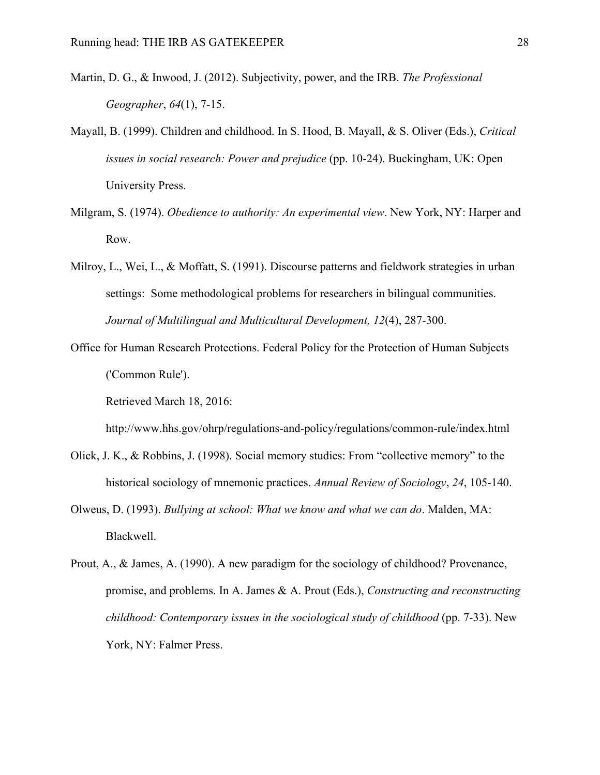- Martin, D. G., & Inwood, J. (2012). Subjectivity, power, and the IRB. *The Professional Geographer*, *64*(1), 7-15.
- Mayall, B. (1999). Children and childhood. In S. Hood, B. Mayall, & S. Oliver (Eds.), *Critical issues in social research: Power and prejudice* (pp. 10-24). Buckingham, UK: Open University Press.
- Milgram, S. (1974). *Obedience to authority: An experimental view*. New York, NY: Harper and Row.
- Milroy, L., Wei, L., & Moffatt, S. (1991). Discourse patterns and fieldwork strategies in urban settings: Some methodological problems for researchers in bilingual communities. *Journal of Multilingual and Multicultural Development, 12*(4), 287-300.
- Office for Human Research Protections. Federal Policy for the Protection of Human Subjects ('Common Rule').

Retrieved March 18, 2016:

http://www.hhs.gov/ohrp/regulations-and-policy/regulations/common-rule/index.html

- Olick, J. K., & Robbins, J. (1998). Social memory studies: From "collective memory" to the historical sociology of mnemonic practices. *Annual Review of Sociology*, *24*, 105-140.
- Olweus, D. (1993). *Bullying at school: What we know and what we can do*. Malden, MA: Blackwell.
- Prout, A., & James, A. (1990). A new paradigm for the sociology of childhood? Provenance, promise, and problems. In A. James & A. Prout (Eds.), *Constructing and reconstructing childhood: Contemporary issues in the sociological study of childhood* (pp. 7-33). New York, NY: Falmer Press.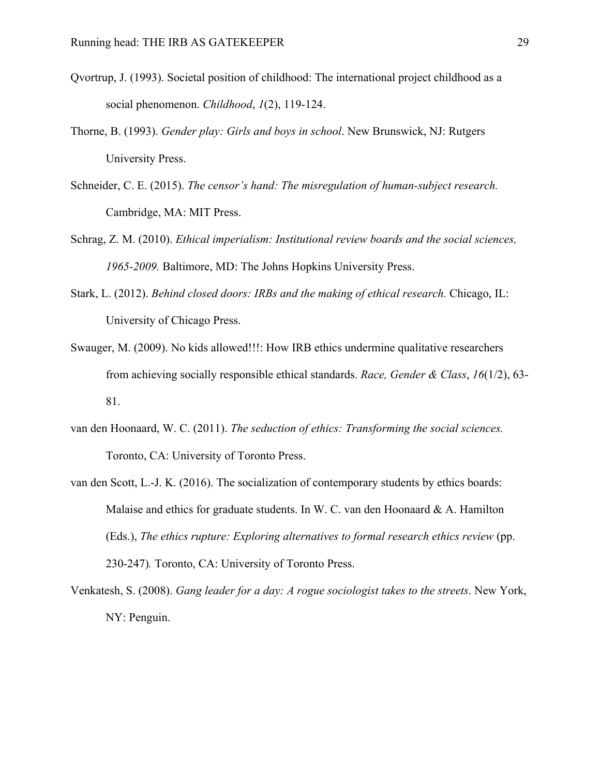- Qvortrup, J. (1993). Societal position of childhood: The international project childhood as a social phenomenon. *Childhood*, *1*(2), 119-124.
- Thorne, B. (1993). *Gender play: Girls and boys in school*. New Brunswick, NJ: Rutgers University Press.
- Schneider, C. E. (2015). *The censor's hand: The misregulation of human-subject research.* Cambridge, MA: MIT Press.
- Schrag, Z. M. (2010). *Ethical imperialism: Institutional review boards and the social sciences, 1965-2009.* Baltimore, MD: The Johns Hopkins University Press.
- Stark, L. (2012). *Behind closed doors: IRBs and the making of ethical research.* Chicago, IL: University of Chicago Press.
- Swauger, M. (2009). No kids allowed!!!: How IRB ethics undermine qualitative researchers from achieving socially responsible ethical standards. *Race, Gender & Class*, *16*(1/2), 63- 81.
- van den Hoonaard, W. C. (2011). *The seduction of ethics: Transforming the social sciences.*  Toronto, CA: University of Toronto Press.
- van den Scott, L.-J. K. (2016). The socialization of contemporary students by ethics boards: Malaise and ethics for graduate students. In W. C. van den Hoonaard  $\& A$ . Hamilton (Eds.), *The ethics rupture: Exploring alternatives to formal research ethics review* (pp. 230-247)*.* Toronto, CA: University of Toronto Press.
- Venkatesh, S. (2008). *Gang leader for a day: A rogue sociologist takes to the streets*. New York, NY: Penguin.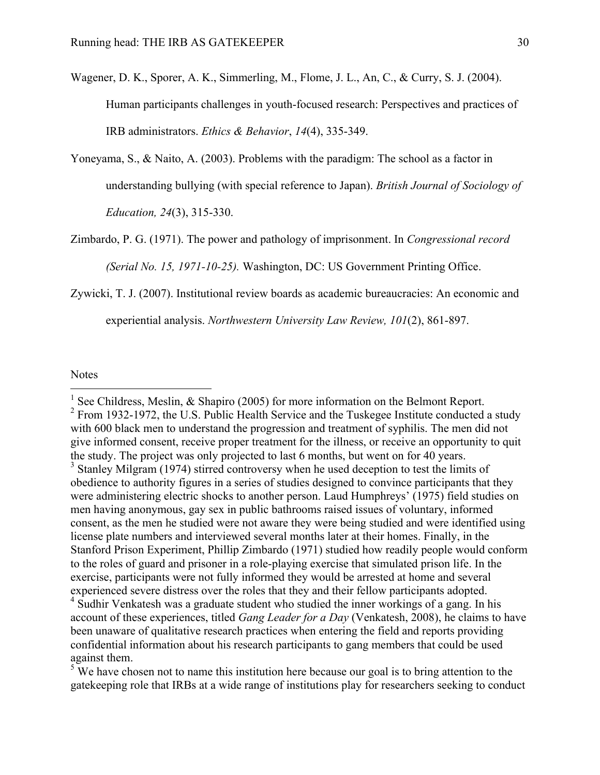- Wagener, D. K., Sporer, A. K., Simmerling, M., Flome, J. L., An, C., & Curry, S. J. (2004). Human participants challenges in youth-focused research: Perspectives and practices of IRB administrators. *Ethics & Behavior*, *14*(4), 335-349.
- Yoneyama, S., & Naito, A. (2003). Problems with the paradigm: The school as a factor in understanding bullying (with special reference to Japan). *British Journal of Sociology of Education, 24*(3), 315-330.

Zimbardo, P. G. (1971). The power and pathology of imprisonment. In *Congressional record (Serial No. 15, 1971-10-25).* Washington, DC: US Government Printing Office.

Zywicki, T. J. (2007). Institutional review boards as academic bureaucracies: An economic and

experiential analysis. *Northwestern University Law Review, 101*(2), 861-897.

Notes

<sup>2</sup> From 1932-1972, the U.S. Public Health Service and the Tuskegee Institute conducted a study with 600 black men to understand the progression and treatment of syphilis. The men did not give informed consent, receive proper treatment for the illness, or receive an opportunity to quit the study. The project was only projected to last 6 months, but went on for 40 years.

<sup>&</sup>lt;sup>1</sup> See Childress, Meslin,  $\&$  Shapiro (2005) for more information on the Belmont Report.

<sup>&</sup>lt;sup>3</sup> Stanley Milgram (1974) stirred controversy when he used deception to test the limits of obedience to authority figures in a series of studies designed to convince participants that they were administering electric shocks to another person. Laud Humphreys' (1975) field studies on men having anonymous, gay sex in public bathrooms raised issues of voluntary, informed consent, as the men he studied were not aware they were being studied and were identified using license plate numbers and interviewed several months later at their homes. Finally, in the Stanford Prison Experiment, Phillip Zimbardo (1971) studied how readily people would conform to the roles of guard and prisoner in a role-playing exercise that simulated prison life. In the exercise, participants were not fully informed they would be arrested at home and several experienced severe distress over the roles that they and their fellow participants adopted.

<sup>&</sup>lt;sup>4</sup> Sudhir Venkatesh was a graduate student who studied the inner workings of a gang. In his account of these experiences, titled *Gang Leader for a Day* (Venkatesh, 2008), he claims to have been unaware of qualitative research practices when entering the field and reports providing confidential information about his research participants to gang members that could be used against them.<br><sup>5</sup> We have chosen not to name this institution here because our goal is to bring attention to the

gatekeeping role that IRBs at a wide range of institutions play for researchers seeking to conduct